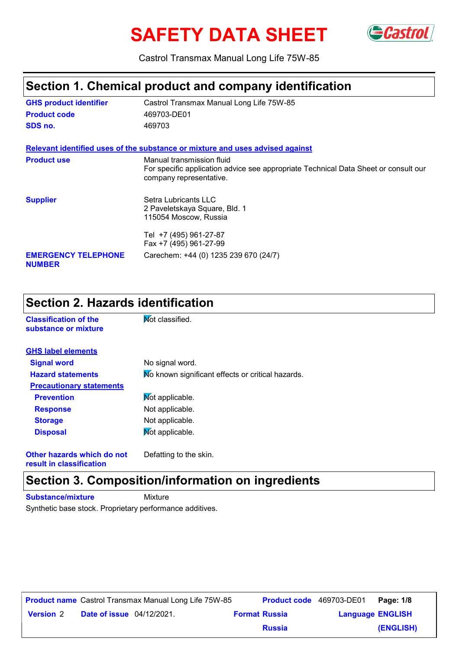# SAFETY DATA SHEET GCastrol



Castrol Transmax Manual Long Life 75W-85

### **Section 1. Chemical product and company identification**

| <b>GHS product identifier</b>               | Castrol Transmax Manual Long Life 75W-85                                                                                                    |
|---------------------------------------------|---------------------------------------------------------------------------------------------------------------------------------------------|
| <b>Product code</b>                         | 469703-DE01                                                                                                                                 |
| SDS no.                                     | 469703                                                                                                                                      |
|                                             | Relevant identified uses of the substance or mixture and uses advised against                                                               |
| <b>Product use</b>                          | Manual transmission fluid<br>For specific application advice see appropriate Technical Data Sheet or consult our<br>company representative. |
| <b>Supplier</b>                             | Setra Lubricants LLC<br>2 Paveletskaya Square, Bld. 1<br>115054 Moscow, Russia                                                              |
|                                             | Tel +7 (495) 961-27-87<br>Fax +7 (495) 961-27-99                                                                                            |
| <b>EMERGENCY TELEPHONE</b><br><b>NUMBER</b> | Carechem: +44 (0) 1235 239 670 (24/7)                                                                                                       |

### **Section 2. Hazards identification**

| <b>Classification of the</b><br>substance or mixture | Not classified.                                   |
|------------------------------------------------------|---------------------------------------------------|
| <b>GHS label elements</b>                            |                                                   |
| <b>Signal word</b>                                   | No signal word.                                   |
| <b>Hazard statements</b>                             | Mo known significant effects or critical hazards. |
| <b>Precautionary statements</b>                      |                                                   |
| <b>Prevention</b>                                    | Mot applicable.                                   |
| <b>Response</b>                                      | Not applicable.                                   |
| <b>Storage</b>                                       | Not applicable.                                   |
| <b>Disposal</b>                                      | Mot applicable.                                   |
|                                                      |                                                   |

#### **Other hazards which do not result in classification**

Defatting to the skin.

### **Section 3. Composition/information on ingredients**

**Substance/mixture** Mixture

Synthetic base stock. Proprietary performance additives.

|                  |                                  | <b>Product name</b> Castrol Transmax Manual Long Life 75W-85 |                      | <b>Product code</b> 469703-DE01 | Page: 1/8 |
|------------------|----------------------------------|--------------------------------------------------------------|----------------------|---------------------------------|-----------|
| <b>Version 2</b> | <b>Date of issue</b> 04/12/2021. |                                                              | <b>Format Russia</b> | <b>Language ENGLISH</b>         |           |
|                  |                                  |                                                              | <b>Russia</b>        |                                 | (ENGLISH) |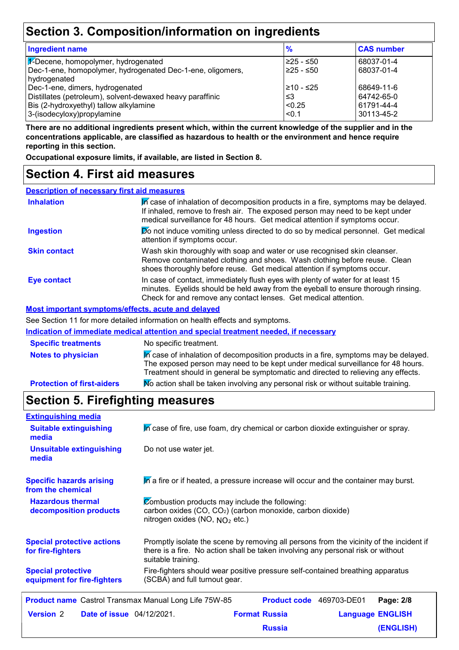### **Section 3. Composition/information on ingredients**

| <b>Ingredient name</b>                                     | $\frac{9}{6}$   | <b>CAS number</b>        |
|------------------------------------------------------------|-----------------|--------------------------|
| F-Decene, homopolymer, hydrogenated                        | l≥25 - ≤50      | 68037-01-4               |
| Dec-1-ene, homopolymer, hydrogenated Dec-1-ene, oligomers, | 225 - ≤50       | 68037-01-4               |
| hydrogenated                                               |                 |                          |
| Dec-1-ene, dimers, hydrogenated                            | 210 - ≤25       | 68649-11-6<br>64742-65-0 |
| Distillates (petroleum), solvent-dewaxed heavy paraffinic  | וצ≥             |                          |
| 3-(isodecyloxy)propylamine                                 | < 0.1           | 30113-45-2               |
| Bis (2-hydroxyethyl) tallow alkylamine                     | <sub>0.25</sub> | 61791-44-4               |

**There are no additional ingredients present which, within the current knowledge of the supplier and in the concentrations applicable, are classified as hazardous to health or the environment and hence require reporting in this section.**

**Occupational exposure limits, if available, are listed in Section 8.**

### **Section 4. First aid measures**

| <b>Description of necessary first aid measures</b> |                                                                                                                                                                                                                                                     |
|----------------------------------------------------|-----------------------------------------------------------------------------------------------------------------------------------------------------------------------------------------------------------------------------------------------------|
| <b>Inhalation</b>                                  | In case of inhalation of decomposition products in a fire, symptoms may be delayed.<br>If inhaled, remove to fresh air. The exposed person may need to be kept under<br>medical surveillance for 48 hours. Get medical attention if symptoms occur. |
| <b>Ingestion</b>                                   | Do not induce vomiting unless directed to do so by medical personnel. Get medical<br>attention if symptoms occur.                                                                                                                                   |
| <b>Skin contact</b>                                | Wash skin thoroughly with soap and water or use recognised skin cleanser.<br>Remove contaminated clothing and shoes. Wash clothing before reuse. Clean<br>shoes thoroughly before reuse. Get medical attention if symptoms occur.                   |
| <b>Eye contact</b>                                 | In case of contact, immediately flush eyes with plenty of water for at least 15<br>minutes. Eyelids should be held away from the eyeball to ensure thorough rinsing.<br>Check for and remove any contact lenses. Get medical attention.             |
|                                                    | Most important symptoms/effects, acute and delayed                                                                                                                                                                                                  |
|                                                    | See Section 11 for more detailed information on health effects and symptoms.                                                                                                                                                                        |
|                                                    | Indication of immediate medical attention and special treatment needed, if necessary                                                                                                                                                                |

| <b>Specific treatments</b>        | No specific treatment.                                                                                                                                                                                                                                      |
|-----------------------------------|-------------------------------------------------------------------------------------------------------------------------------------------------------------------------------------------------------------------------------------------------------------|
| <b>Notes to physician</b>         | In case of inhalation of decomposition products in a fire, symptoms may be delayed.<br>The exposed person may need to be kept under medical surveillance for 48 hours.<br>Treatment should in general be symptomatic and directed to relieving any effects. |
| <b>Protection of first-aiders</b> | No action shall be taken involving any personal risk or without suitable training.                                                                                                                                                                          |

### **Section 5. Firefighting measures**

| <b>Extinguishing media</b>                                   |                                                                                                                                                                                                   |                          |  |                         |
|--------------------------------------------------------------|---------------------------------------------------------------------------------------------------------------------------------------------------------------------------------------------------|--------------------------|--|-------------------------|
| <b>Suitable extinguishing</b><br>media                       | In case of fire, use foam, dry chemical or carbon dioxide extinguisher or spray.                                                                                                                  |                          |  |                         |
| <b>Unsuitable extinguishing</b><br>media                     | Do not use water jet.                                                                                                                                                                             |                          |  |                         |
| <b>Specific hazards arising</b><br>from the chemical         | In a fire or if heated, a pressure increase will occur and the container may burst.                                                                                                               |                          |  |                         |
| <b>Hazardous thermal</b><br>decomposition products           | Combustion products may include the following:<br>carbon oxides (CO, CO <sub>2</sub> ) (carbon monoxide, carbon dioxide)<br>nitrogen oxides (NO, $NO2$ etc.)                                      |                          |  |                         |
| <b>Special protective actions</b><br>for fire-fighters       | Promptly isolate the scene by removing all persons from the vicinity of the incident if<br>there is a fire. No action shall be taken involving any personal risk or without<br>suitable training. |                          |  |                         |
| <b>Special protective</b><br>equipment for fire-fighters     | Fire-fighters should wear positive pressure self-contained breathing apparatus<br>(SCBA) and full turnout gear.                                                                                   |                          |  |                         |
| <b>Product name</b> Castrol Transmax Manual Long Life 75W-85 |                                                                                                                                                                                                   | Product code 469703-DE01 |  | Page: 2/8               |
| <b>Version 2</b><br><b>Date of issue</b> 04/12/2021.         |                                                                                                                                                                                                   | <b>Format Russia</b>     |  | <b>Language ENGLISH</b> |
|                                                              |                                                                                                                                                                                                   | <b>Russia</b>            |  | (ENGLISH)               |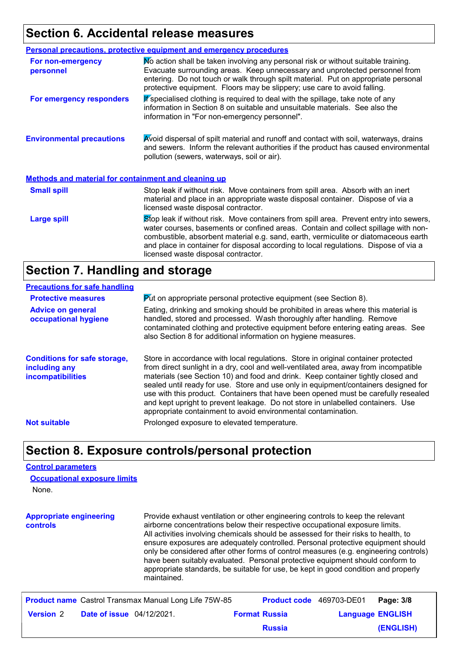# **Section 6. Accidental release measures**

|                                                             | Personal precautions, protective equipment and emergency procedures                                                                                                                                                                                                                                                                                                                                |
|-------------------------------------------------------------|----------------------------------------------------------------------------------------------------------------------------------------------------------------------------------------------------------------------------------------------------------------------------------------------------------------------------------------------------------------------------------------------------|
| <b>For non-emergency</b><br>personnel                       | No action shall be taken involving any personal risk or without suitable training.<br>Evacuate surrounding areas. Keep unnecessary and unprotected personnel from<br>entering. Do not touch or walk through spilt material. Put on appropriate personal<br>protective equipment. Floors may be slippery; use care to avoid falling.                                                                |
| For emergency responders                                    | If specialised clothing is required to deal with the spillage, take note of any<br>information in Section 8 on suitable and unsuitable materials. See also the<br>information in "For non-emergency personnel".                                                                                                                                                                                    |
| <b>Environmental precautions</b>                            | Avoid dispersal of spilt material and runoff and contact with soil, waterways, drains<br>and sewers. Inform the relevant authorities if the product has caused environmental<br>pollution (sewers, waterways, soil or air).                                                                                                                                                                        |
| <b>Methods and material for containment and cleaning up</b> |                                                                                                                                                                                                                                                                                                                                                                                                    |
| <b>Small spill</b>                                          | Stop leak if without risk. Move containers from spill area. Absorb with an inert<br>material and place in an appropriate waste disposal container. Dispose of via a<br>licensed waste disposal contractor.                                                                                                                                                                                         |
| <b>Large spill</b>                                          | Stop leak if without risk. Move containers from spill area. Prevent entry into sewers,<br>water courses, basements or confined areas. Contain and collect spillage with non-<br>combustible, absorbent material e.g. sand, earth, vermiculite or diatomaceous earth<br>and place in container for disposal according to local regulations. Dispose of via a<br>licensed waste disposal contractor. |

### **Section 7. Handling and storage**

| <b>Precautions for safe handling</b>                                             |                                                                                                                                                                                                                                                                                                                                                                                                                                                                                                                                                                                                |
|----------------------------------------------------------------------------------|------------------------------------------------------------------------------------------------------------------------------------------------------------------------------------------------------------------------------------------------------------------------------------------------------------------------------------------------------------------------------------------------------------------------------------------------------------------------------------------------------------------------------------------------------------------------------------------------|
| <b>Protective measures</b>                                                       | $\triangleright$ dt on appropriate personal protective equipment (see Section 8).                                                                                                                                                                                                                                                                                                                                                                                                                                                                                                              |
| <b>Advice on general</b><br>occupational hygiene                                 | Eating, drinking and smoking should be prohibited in areas where this material is<br>handled, stored and processed. Wash thoroughly after handling. Remove<br>contaminated clothing and protective equipment before entering eating areas. See<br>also Section 8 for additional information on hygiene measures.                                                                                                                                                                                                                                                                               |
| <b>Conditions for safe storage,</b><br>including any<br><b>incompatibilities</b> | Store in accordance with local regulations. Store in original container protected<br>from direct sunlight in a dry, cool and well-ventilated area, away from incompatible<br>materials (see Section 10) and food and drink. Keep container tightly closed and<br>sealed until ready for use. Store and use only in equipment/containers designed for<br>use with this product. Containers that have been opened must be carefully resealed<br>and kept upright to prevent leakage. Do not store in unlabelled containers. Use<br>appropriate containment to avoid environmental contamination. |
| <b>Not suitable</b>                                                              | Prolonged exposure to elevated temperature.                                                                                                                                                                                                                                                                                                                                                                                                                                                                                                                                                    |

# **Section 8. Exposure controls/personal protection**

### **Control parameters**

| <b>Occupational exposure limits</b> |  |
|-------------------------------------|--|
| None.                               |  |

| <b>Appropriate engineering</b><br>controls | Provide exhaust ventilation or other engineering controls to keep the relevant<br>airborne concentrations below their respective occupational exposure limits.<br>All activities involving chemicals should be assessed for their risks to health, to<br>ensure exposures are adequately controlled. Personal protective equipment should<br>only be considered after other forms of control measures (e.g. engineering controls)<br>have been suitably evaluated. Personal protective equipment should conform to<br>appropriate standards, be suitable for use, be kept in good condition and properly<br>maintained. |
|--------------------------------------------|-------------------------------------------------------------------------------------------------------------------------------------------------------------------------------------------------------------------------------------------------------------------------------------------------------------------------------------------------------------------------------------------------------------------------------------------------------------------------------------------------------------------------------------------------------------------------------------------------------------------------|
|--------------------------------------------|-------------------------------------------------------------------------------------------------------------------------------------------------------------------------------------------------------------------------------------------------------------------------------------------------------------------------------------------------------------------------------------------------------------------------------------------------------------------------------------------------------------------------------------------------------------------------------------------------------------------------|

|                  |                                  | <b>Product name</b> Castrol Transmax Manual Long Life 75W-85 |                      | <b>Product code</b> 469703-DE01 | Page: 3/8 |
|------------------|----------------------------------|--------------------------------------------------------------|----------------------|---------------------------------|-----------|
| <b>Version</b> 2 | <b>Date of issue</b> 04/12/2021. |                                                              | <b>Format Russia</b> | <b>Language ENGLISH</b>         |           |
|                  |                                  |                                                              | <b>Russia</b>        |                                 | (ENGLISH) |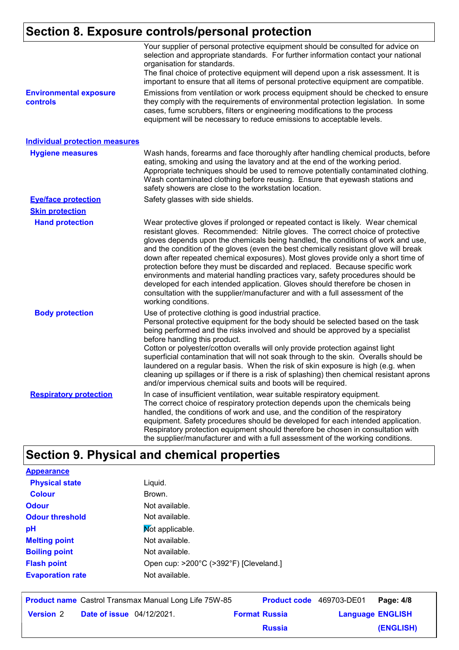# **Section 8. Exposure controls/personal protection**

|                                           | Your supplier of personal protective equipment should be consulted for advice on<br>selection and appropriate standards. For further information contact your national<br>organisation for standards.<br>The final choice of protective equipment will depend upon a risk assessment. It is<br>important to ensure that all items of personal protective equipment are compatible.                                                                                                                                                                                                                                                                                                                                                                                                              |
|-------------------------------------------|-------------------------------------------------------------------------------------------------------------------------------------------------------------------------------------------------------------------------------------------------------------------------------------------------------------------------------------------------------------------------------------------------------------------------------------------------------------------------------------------------------------------------------------------------------------------------------------------------------------------------------------------------------------------------------------------------------------------------------------------------------------------------------------------------|
| <b>Environmental exposure</b><br>controls | Emissions from ventilation or work process equipment should be checked to ensure<br>they comply with the requirements of environmental protection legislation. In some<br>cases, fume scrubbers, filters or engineering modifications to the process<br>equipment will be necessary to reduce emissions to acceptable levels.                                                                                                                                                                                                                                                                                                                                                                                                                                                                   |
| <b>Individual protection measures</b>     |                                                                                                                                                                                                                                                                                                                                                                                                                                                                                                                                                                                                                                                                                                                                                                                                 |
| <b>Hygiene measures</b>                   | Wash hands, forearms and face thoroughly after handling chemical products, before<br>eating, smoking and using the lavatory and at the end of the working period.<br>Appropriate techniques should be used to remove potentially contaminated clothing.<br>Wash contaminated clothing before reusing. Ensure that eyewash stations and<br>safety showers are close to the workstation location.                                                                                                                                                                                                                                                                                                                                                                                                 |
| <b>Eye/face protection</b>                | Safety glasses with side shields.                                                                                                                                                                                                                                                                                                                                                                                                                                                                                                                                                                                                                                                                                                                                                               |
| <b>Skin protection</b>                    |                                                                                                                                                                                                                                                                                                                                                                                                                                                                                                                                                                                                                                                                                                                                                                                                 |
| <b>Hand protection</b>                    | Wear protective gloves if prolonged or repeated contact is likely. Wear chemical<br>resistant gloves. Recommended: Nitrile gloves. The correct choice of protective<br>gloves depends upon the chemicals being handled, the conditions of work and use,<br>and the condition of the gloves (even the best chemically resistant glove will break<br>down after repeated chemical exposures). Most gloves provide only a short time of<br>protection before they must be discarded and replaced. Because specific work<br>environments and material handling practices vary, safety procedures should be<br>developed for each intended application. Gloves should therefore be chosen in<br>consultation with the supplier/manufacturer and with a full assessment of the<br>working conditions. |
| <b>Body protection</b>                    | Use of protective clothing is good industrial practice.<br>Personal protective equipment for the body should be selected based on the task<br>being performed and the risks involved and should be approved by a specialist<br>before handling this product.<br>Cotton or polyester/cotton overalls will only provide protection against light<br>superficial contamination that will not soak through to the skin. Overalls should be<br>laundered on a regular basis. When the risk of skin exposure is high (e.g. when<br>cleaning up spillages or if there is a risk of splashing) then chemical resistant aprons<br>and/or impervious chemical suits and boots will be required.                                                                                                           |
| <b>Respiratory protection</b>             | In case of insufficient ventilation, wear suitable respiratory equipment.<br>The correct choice of respiratory protection depends upon the chemicals being<br>handled, the conditions of work and use, and the condition of the respiratory<br>equipment. Safety procedures should be developed for each intended application.<br>Respiratory protection equipment should therefore be chosen in consultation with<br>the supplier/manufacturer and with a full assessment of the working conditions.                                                                                                                                                                                                                                                                                           |

# **Section 9. Physical and chemical properties**

| <b>Appearance</b>       |                                        |
|-------------------------|----------------------------------------|
| <b>Physical state</b>   | Liquid.                                |
| <b>Colour</b>           | Brown.                                 |
| <b>Odour</b>            | Not available.                         |
| <b>Odour threshold</b>  | Not available.                         |
| рH                      | Not applicable.                        |
| <b>Melting point</b>    | Not available.                         |
| <b>Boiling point</b>    | Not available.                         |
| <b>Flash point</b>      | Open cup: >200°C (>392°F) [Cleveland.] |
| <b>Evaporation rate</b> | Not available.                         |
|                         |                                        |

|                  |                                  | <b>Product name</b> Castrol Transmax Manual Long Life 75W-85 | <b>Product code</b> 469703-DE01 |                         | Page: 4/8 |
|------------------|----------------------------------|--------------------------------------------------------------|---------------------------------|-------------------------|-----------|
| <b>Version 2</b> | <b>Date of issue</b> 04/12/2021. |                                                              | <b>Format Russia</b>            | <b>Language ENGLISH</b> |           |
|                  |                                  |                                                              | <b>Russia</b>                   |                         | (ENGLISH) |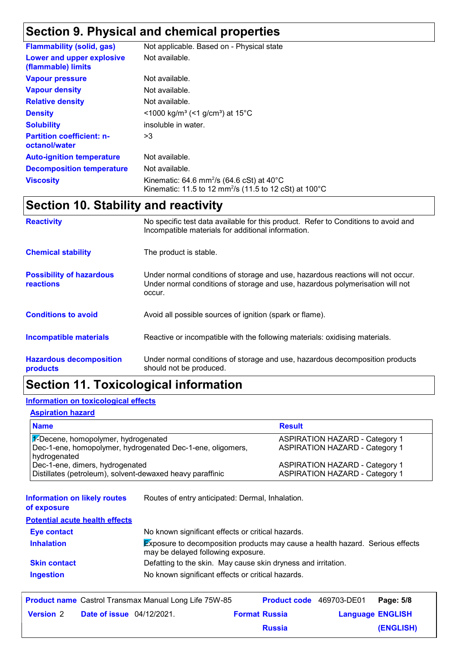# **Section 9. Physical and chemical properties**

| <b>Flammability (solid, gas)</b>                  | Not applicable. Based on - Physical state                                                                                                        |
|---------------------------------------------------|--------------------------------------------------------------------------------------------------------------------------------------------------|
| Lower and upper explosive<br>(flammable) limits   | Not available.                                                                                                                                   |
| <b>Vapour pressure</b>                            | Not available.                                                                                                                                   |
| <b>Vapour density</b>                             | Not available.                                                                                                                                   |
| <b>Relative density</b>                           | Not available.                                                                                                                                   |
| <b>Density</b>                                    | $\leq$ 1000 kg/m <sup>3</sup> (<1 g/cm <sup>3</sup> ) at 15 <sup>°</sup> C                                                                       |
| <b>Solubility</b>                                 | insoluble in water.                                                                                                                              |
| <b>Partition coefficient: n-</b><br>octanol/water | >3                                                                                                                                               |
| <b>Auto-ignition temperature</b>                  | Not available.                                                                                                                                   |
| <b>Decomposition temperature</b>                  | Not available.                                                                                                                                   |
| <b>Viscosity</b>                                  | Kinematic: 64.6 mm <sup>2</sup> /s (64.6 cSt) at $40^{\circ}$ C<br>Kinematic: 11.5 to 12 mm <sup>2</sup> /s (11.5 to 12 cSt) at 100 $^{\circ}$ C |

# **Section 10. Stability and reactivity**

| <b>Reactivity</b>                                   | No specific test data available for this product. Refer to Conditions to avoid and<br>Incompatible materials for additional information.                                   |
|-----------------------------------------------------|----------------------------------------------------------------------------------------------------------------------------------------------------------------------------|
| <b>Chemical stability</b>                           | The product is stable.                                                                                                                                                     |
| <b>Possibility of hazardous</b><br><b>reactions</b> | Under normal conditions of storage and use, hazardous reactions will not occur.<br>Under normal conditions of storage and use, hazardous polymerisation will not<br>occur. |
| <b>Conditions to avoid</b>                          | Avoid all possible sources of ignition (spark or flame).                                                                                                                   |
| <b>Incompatible materials</b>                       | Reactive or incompatible with the following materials: oxidising materials.                                                                                                |
| <b>Hazardous decomposition</b><br>products          | Under normal conditions of storage and use, hazardous decomposition products<br>should not be produced.                                                                    |

### **Section 11. Toxicological information**

### **Information on toxicological effects**

### **Aspiration hazard**

| <b>Name</b>                                                                | <b>Result</b>                         |
|----------------------------------------------------------------------------|---------------------------------------|
| $\mathcal{U}$ -Decene, homopolymer, hydrogenated                           | <b>ASPIRATION HAZARD - Category 1</b> |
| Dec-1-ene, homopolymer, hydrogenated Dec-1-ene, oligomers,<br>hydrogenated | <b>ASPIRATION HAZARD - Category 1</b> |
| Dec-1-ene, dimers, hydrogenated                                            | <b>ASPIRATION HAZARD - Category 1</b> |
| Distillates (petroleum), solvent-dewaxed heavy paraffinic                  | <b>ASPIRATION HAZARD - Category 1</b> |

| <b>Information on likely routes</b><br>of exposure | Routes of entry anticipated: Dermal, Inhalation.                                                                           |
|----------------------------------------------------|----------------------------------------------------------------------------------------------------------------------------|
| <b>Potential acute health effects</b>              |                                                                                                                            |
| <b>Eye contact</b>                                 | No known significant effects or critical hazards.                                                                          |
| <b>Inhalation</b>                                  | <b>Exposure to decomposition products may cause a health hazard. Serious effects</b><br>may be delayed following exposure. |
| <b>Skin contact</b>                                | Defatting to the skin. May cause skin dryness and irritation.                                                              |
| <b>Ingestion</b>                                   | No known significant effects or critical hazards.                                                                          |

|                  |                                  | <b>Product name</b> Castrol Transmax Manual Long Life 75W-85 |                      |               | Product code 469703-DE01 Page: 5/8 |           |
|------------------|----------------------------------|--------------------------------------------------------------|----------------------|---------------|------------------------------------|-----------|
| <b>Version 2</b> | <b>Date of issue</b> 04/12/2021. |                                                              | <b>Format Russia</b> |               | <b>Language ENGLISH</b>            |           |
|                  |                                  |                                                              |                      | <b>Russia</b> |                                    | (ENGLISH) |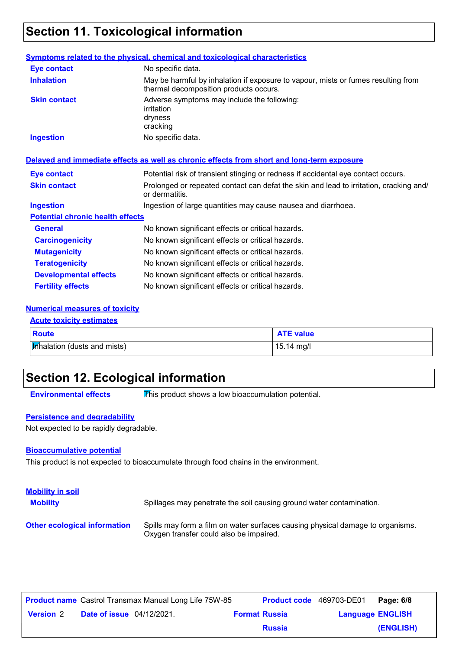### **Section 11. Toxicological information**

#### **General** No known significant effects or critical hazards. **Carcinogenicity** No known significant effects or critical hazards. **Mutagenicity** No known significant effects or critical hazards. **Teratogenicity** No known significant effects or critical hazards. **Developmental effects** No known significant effects or critical hazards. **Fertility effects** No known significant effects or critical hazards. **Symptoms related to the physical, chemical and toxicological characteristics Skin contact Ingestion Inhalation** May be harmful by inhalation if exposure to vapour, mists or fumes resulting from thermal decomposition products occurs. No specific data. Adverse symptoms may include the following: irritation dryness cracking **Eye contact** No specific data. **Potential chronic health effects Delayed and immediate effects as well as chronic effects from short and long-term exposure** Ingestion of large quantities may cause nausea and diarrhoea. Potential risk of transient stinging or redness if accidental eye contact occurs. Prolonged or repeated contact can defat the skin and lead to irritation, cracking and/ or dermatitis. **Eye contact Skin contact Ingestion**

### **Numerical measures of toxicity**

| <b>Acute toxicity estimates</b> |                  |  |
|---------------------------------|------------------|--|
| Route                           | <b>ATE value</b> |  |
| Minalation (dusts and mists)    | 15.14 mg/l       |  |

### **Section 12. Ecological information**

**Environmental effects** This product shows a low bioaccumulation potential.

### **Persistence and degradability**

Not expected to be rapidly degradable.

### **Bioaccumulative potential**

This product is not expected to bioaccumulate through food chains in the environment.

| <b>Mobility in soil</b><br><b>Mobility</b> | Spillages may penetrate the soil causing ground water contamination.                                                      |
|--------------------------------------------|---------------------------------------------------------------------------------------------------------------------------|
| <b>Other ecological information</b>        | Spills may form a film on water surfaces causing physical damage to organisms.<br>Oxygen transfer could also be impaired. |

|                  |                                  | <b>Product name</b> Castrol Transmax Manual Long Life 75W-85 | Product code 469703-DE01 |                         | Page: 6/8 |
|------------------|----------------------------------|--------------------------------------------------------------|--------------------------|-------------------------|-----------|
| <b>Version 2</b> | <b>Date of issue</b> 04/12/2021. |                                                              | <b>Format Russia</b>     | <b>Language ENGLISH</b> |           |
|                  |                                  |                                                              | <b>Russia</b>            |                         | (ENGLISH) |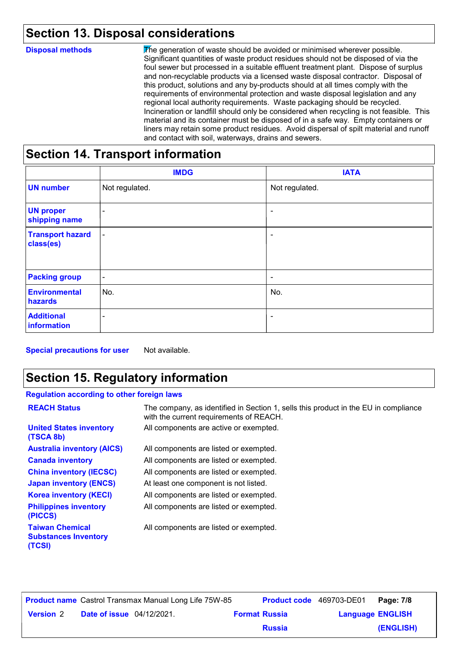# **Section 13. Disposal considerations**

| <b>Disposal methods</b> | The generation of waste should be avoided or minimised wherever possible.<br>Significant quantities of waste product residues should not be disposed of via the<br>foul sewer but processed in a suitable effluent treatment plant. Dispose of surplus<br>and non-recyclable products via a licensed waste disposal contractor. Disposal of<br>this product, solutions and any by-products should at all times comply with the<br>requirements of environmental protection and waste disposal legislation and any<br>regional local authority requirements. Waste packaging should be recycled.<br>Incineration or landfill should only be considered when recycling is not feasible. This<br>material and its container must be disposed of in a safe way. Empty containers or<br>liners may retain some product residues. Avoid dispersal of spilt material and runoff<br>and contact with soil, waterways, drains and sewers. |
|-------------------------|----------------------------------------------------------------------------------------------------------------------------------------------------------------------------------------------------------------------------------------------------------------------------------------------------------------------------------------------------------------------------------------------------------------------------------------------------------------------------------------------------------------------------------------------------------------------------------------------------------------------------------------------------------------------------------------------------------------------------------------------------------------------------------------------------------------------------------------------------------------------------------------------------------------------------------|
|                         | Castian 44 Transport information                                                                                                                                                                                                                                                                                                                                                                                                                                                                                                                                                                                                                                                                                                                                                                                                                                                                                                 |

### **Section 14. Transport information**

|                                      | <b>IMDG</b>              | <b>IATA</b>              |
|--------------------------------------|--------------------------|--------------------------|
| <b>UN number</b>                     | Not regulated.           | Not regulated.           |
| <b>UN proper</b><br>shipping name    | $\overline{\phantom{0}}$ | $\overline{\phantom{a}}$ |
| <b>Transport hazard</b><br>class(es) | $\blacksquare$           | ۰                        |
| <b>Packing group</b>                 | $\overline{\phantom{a}}$ | $\overline{\phantom{a}}$ |
| <b>Environmental</b><br>hazards      | No.                      | No.                      |
| <b>Additional</b><br>information     | $\overline{\phantom{a}}$ | ۰                        |

**Special precautions for user** Not available.

# **Section 15. Regulatory information**

### **Regulation according to other foreign laws**

| <b>REACH Status</b>                                             | The company, as identified in Section 1, sells this product in the EU in compliance<br>with the current requirements of REACH. |
|-----------------------------------------------------------------|--------------------------------------------------------------------------------------------------------------------------------|
| <b>United States inventory</b><br>(TSCA 8b)                     | All components are active or exempted.                                                                                         |
| <b>Australia inventory (AICS)</b>                               | All components are listed or exempted.                                                                                         |
| <b>Canada inventory</b>                                         | All components are listed or exempted.                                                                                         |
| <b>China inventory (IECSC)</b>                                  | All components are listed or exempted.                                                                                         |
| <b>Japan inventory (ENCS)</b>                                   | At least one component is not listed.                                                                                          |
| <b>Korea inventory (KECI)</b>                                   | All components are listed or exempted.                                                                                         |
| <b>Philippines inventory</b><br>(PICCS)                         | All components are listed or exempted.                                                                                         |
| <b>Taiwan Chemical</b><br><b>Substances Inventory</b><br>(TCSI) | All components are listed or exempted.                                                                                         |

|                  |                                  | <b>Product name</b> Castrol Transmax Manual Long Life 75W-85 |                      | <b>Product code</b> 469703-DE01 | Page: 7/8 |
|------------------|----------------------------------|--------------------------------------------------------------|----------------------|---------------------------------|-----------|
| <b>Version 2</b> | <b>Date of issue</b> 04/12/2021. |                                                              | <b>Format Russia</b> | <b>Language ENGLISH</b>         |           |
|                  |                                  |                                                              | <b>Russia</b>        |                                 | (ENGLISH) |